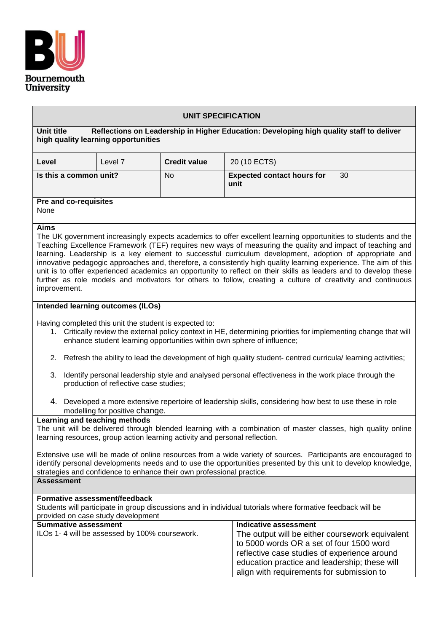

### **UNIT SPECIFICATION**

**Unit title Reflections on Leadership in Higher Education: Developing high quality staff to deliver high quality learning opportunities**

| Level                        | Level 7 | <b>Credit value</b> | 20 (10 ECTS)                              |    |  |  |
|------------------------------|---------|---------------------|-------------------------------------------|----|--|--|
| Is this a common unit?       |         | No                  | <b>Expected contact hours for</b><br>unit | 30 |  |  |
| <b>Dro and co-roquisitos</b> |         |                     |                                           |    |  |  |

**Pre and co-requisites** None

## **Aims**

The UK government increasingly expects academics to offer excellent learning opportunities to students and the Teaching Excellence Framework (TEF) requires new ways of measuring the quality and impact of teaching and learning. Leadership is a key element to successful curriculum development, adoption of appropriate and innovative pedagogic approaches and, therefore, a consistently high quality learning experience. The aim of this unit is to offer experienced academics an opportunity to reflect on their skills as leaders and to develop these further as role models and motivators for others to follow, creating a culture of creativity and continuous improvement.

### **Intended learning outcomes (ILOs)**

Having completed this unit the student is expected to:

- 1. Critically review the external policy context in HE, determining priorities for implementing change that will enhance student learning opportunities within own sphere of influence;
- 2. Refresh the ability to lead the development of high quality student- centred curricula/ learning activities;
- 3. Identify personal leadership style and analysed personal effectiveness in the work place through the production of reflective case studies;
- 4. Developed a more extensive repertoire of leadership skills, considering how best to use these in role modelling for positive change.

**Learning and teaching methods**

The unit will be delivered through blended learning with a combination of master classes, high quality online learning resources, group action learning activity and personal reflection.

Extensive use will be made of online resources from a wide variety of sources. Participants are encouraged to identify personal developments needs and to use the opportunities presented by this unit to develop knowledge, strategies and confidence to enhance their own professional practice. **Assessment** 

# **Formative assessment/feedback**

Students will participate in group discussions and in individual tutorials where formative feedback will be provided on case study development

| <b>Summative assessment</b>                   | Indicative assessment                           |  |
|-----------------------------------------------|-------------------------------------------------|--|
| ILOs 1-4 will be assessed by 100% coursework. | The output will be either coursework equivalent |  |
|                                               | to 5000 words OR a set of four 1500 word        |  |
|                                               | reflective case studies of experience around    |  |
|                                               | education practice and leadership; these will   |  |
|                                               | align with requirements for submission to       |  |